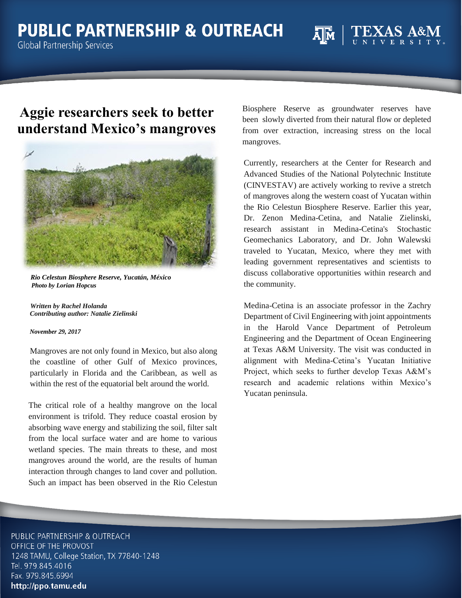## **Aggie researchers seek to better understand Mexico's mangroves**



 *Rio Celestun Biosphere Reserve, Yucatán, México Photo by Lorian Hopcus*

 *Written by Rachel Holanda Contributing author: Natalie Zielinski*

## *November 29, 2017*

Mangroves are not only found in Mexico, but also along the coastline of other Gulf of Mexico provinces, particularly in Florida and the Caribbean, as well as within the rest of the equatorial belt around the world.

The critical role of a healthy mangrove on the local environment is trifold. They reduce coastal erosion by absorbing wave energy and stabilizing the soil, filter salt from the local surface water and are home to various wetland species. The main threats to these, and most mangroves around the world, are the results of human interaction through changes to land cover and pollution. Such an impact has been observed in the Rio Celestun Biosphere Reserve as groundwater reserves have been slowly diverted from their natural flow or depleted from over extraction, increasing stress on the local mangroves.

Currently, researchers at the Center for Research and Advanced Studies of the National Polytechnic Institute (CINVESTAV) are actively working to revive a stretch of mangroves along the western coast of Yucatan within the Rio Celestun Biosphere Reserve. Earlier this year, Dr. Zenon Medina-Cetina, and Natalie Zielinski, research assistant in Medina-Cetina's Stochastic Geomechanics Laboratory, and Dr. John Walewski traveled to Yucatan, Mexico, where they met with leading government representatives and scientists to discuss collaborative opportunities within research and the community.

Medina-Cetina is an associate professor in the Zachry Department of Civil Engineering with joint appointments in the Harold Vance Department of Petroleum Engineering and the Department of Ocean Engineering at Texas A&M University. The visit was conducted in alignment with Medina-Cetina's Yucatan Initiative Project, which seeks to further develop Texas A&M's research and academic relations within Mexico's Yucatan peninsula.

PUBLIC PARTNERSHIP & OUTREACH OFFICE OF THE PROVOST 1248 TAMU, College Station, TX 77840-1248 Tel. 979.845.4016 Fax. 979.845.6994 http://ppo.tamu.edu